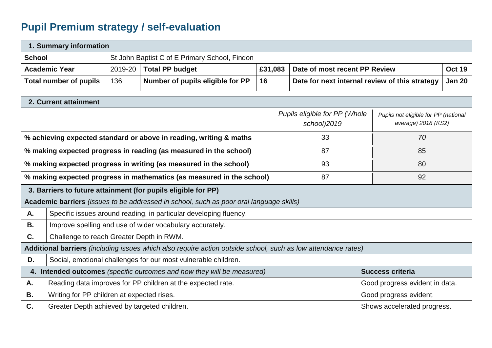## **Pupil Premium strategy / self-evaluation**

| 1. Summary information                                                                                        |                                                                                                   |                                                             |                                  |         |                                              |                                                |                                                             |               |  |
|---------------------------------------------------------------------------------------------------------------|---------------------------------------------------------------------------------------------------|-------------------------------------------------------------|----------------------------------|---------|----------------------------------------------|------------------------------------------------|-------------------------------------------------------------|---------------|--|
|                                                                                                               | <b>School</b><br>St John Baptist C of E Primary School, Findon                                    |                                                             |                                  |         |                                              |                                                |                                                             |               |  |
| <b>Academic Year</b>                                                                                          |                                                                                                   | 2019-20                                                     | <b>Total PP budget</b>           | £31,083 |                                              | Date of most recent PP Review                  |                                                             | <b>Oct 19</b> |  |
|                                                                                                               | <b>Total number of pupils</b>                                                                     | 136                                                         | Number of pupils eligible for PP | 16      |                                              | Date for next internal review of this strategy |                                                             | <b>Jan 20</b> |  |
| 2. Current attainment                                                                                         |                                                                                                   |                                                             |                                  |         |                                              |                                                |                                                             |               |  |
|                                                                                                               |                                                                                                   |                                                             |                                  |         | Pupils eligible for PP (Whole<br>school)2019 |                                                | Pupils not eligible for PP (national<br>average) 2018 (KS2) |               |  |
| % achieving expected standard or above in reading, writing & maths                                            |                                                                                                   |                                                             |                                  |         |                                              | 33                                             | 70                                                          |               |  |
| % making expected progress in reading (as measured in the school)                                             |                                                                                                   |                                                             |                                  |         |                                              | 87                                             | 85                                                          |               |  |
| % making expected progress in writing (as measured in the school)                                             |                                                                                                   |                                                             |                                  |         |                                              | 93                                             | 80                                                          |               |  |
| % making expected progress in mathematics (as measured in the school)                                         |                                                                                                   |                                                             |                                  |         |                                              | 87                                             | 92                                                          |               |  |
| 3. Barriers to future attainment (for pupils eligible for PP)                                                 |                                                                                                   |                                                             |                                  |         |                                              |                                                |                                                             |               |  |
| Academic barriers (issues to be addressed in school, such as poor oral language skills)                       |                                                                                                   |                                                             |                                  |         |                                              |                                                |                                                             |               |  |
| A.                                                                                                            | Specific issues around reading, in particular developing fluency.                                 |                                                             |                                  |         |                                              |                                                |                                                             |               |  |
| Β.                                                                                                            | Improve spelling and use of wider vocabulary accurately.                                          |                                                             |                                  |         |                                              |                                                |                                                             |               |  |
| C.                                                                                                            | Challenge to reach Greater Depth in RWM.                                                          |                                                             |                                  |         |                                              |                                                |                                                             |               |  |
| Additional barriers (including issues which also require action outside school, such as low attendance rates) |                                                                                                   |                                                             |                                  |         |                                              |                                                |                                                             |               |  |
| D.<br>Social, emotional challenges for our most vulnerable children.                                          |                                                                                                   |                                                             |                                  |         |                                              |                                                |                                                             |               |  |
|                                                                                                               | <b>Success criteria</b><br>4. Intended outcomes (specific outcomes and how they will be measured) |                                                             |                                  |         |                                              |                                                |                                                             |               |  |
| Α.                                                                                                            |                                                                                                   | Reading data improves for PP children at the expected rate. |                                  |         |                                              | Good progress evident in data.                 |                                                             |               |  |
| В.                                                                                                            | Writing for PP children at expected rises.<br>Good progress evident.                              |                                                             |                                  |         |                                              |                                                |                                                             |               |  |
| C.                                                                                                            | Greater Depth achieved by targeted children.                                                      |                                                             |                                  |         |                                              |                                                | Shows accelerated progress.                                 |               |  |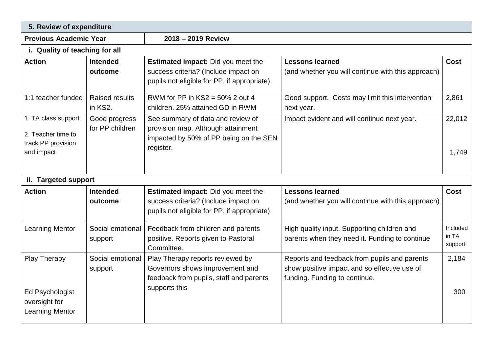| 5. Review of expenditure                                                          |                                  |                                                                                                                                   |                                                                                                                               |                              |  |  |  |  |
|-----------------------------------------------------------------------------------|----------------------------------|-----------------------------------------------------------------------------------------------------------------------------------|-------------------------------------------------------------------------------------------------------------------------------|------------------------------|--|--|--|--|
| <b>Previous Academic Year</b>                                                     |                                  | 2018 - 2019 Review                                                                                                                |                                                                                                                               |                              |  |  |  |  |
| i. Quality of teaching for all                                                    |                                  |                                                                                                                                   |                                                                                                                               |                              |  |  |  |  |
| <b>Action</b>                                                                     | <b>Intended</b><br>outcome       | Estimated impact: Did you meet the<br>success criteria? (Include impact on<br>pupils not eligible for PP, if appropriate).        | <b>Lessons learned</b><br>(and whether you will continue with this approach)                                                  | <b>Cost</b>                  |  |  |  |  |
| 1:1 teacher funded                                                                | <b>Raised results</b><br>in KS2. | RWM for PP in $KS2 = 50\%$ 2 out 4<br>children. 25% attained GD in RWM                                                            | Good support. Costs may limit this intervention<br>next year.                                                                 | 2,861                        |  |  |  |  |
| 1. TA class support<br>2. Teacher time to<br>track PP provision<br>and impact     | Good progress<br>for PP children | See summary of data and review of<br>provision map. Although attainment<br>impacted by 50% of PP being on the SEN<br>register.    | Impact evident and will continue next year.                                                                                   | 22,012<br>1,749              |  |  |  |  |
| ii. Targeted support                                                              |                                  |                                                                                                                                   |                                                                                                                               |                              |  |  |  |  |
| <b>Action</b>                                                                     | <b>Intended</b><br>outcome       | <b>Estimated impact:</b> Did you meet the<br>success criteria? (Include impact on<br>pupils not eligible for PP, if appropriate). | <b>Lessons learned</b><br>(and whether you will continue with this approach)                                                  | <b>Cost</b>                  |  |  |  |  |
| <b>Learning Mentor</b>                                                            | Social emotional<br>support      | Feedback from children and parents<br>positive. Reports given to Pastoral<br>Committee.                                           | High quality input. Supporting children and<br>parents when they need it. Funding to continue                                 | Included<br>in TA<br>support |  |  |  |  |
| <b>Play Therapy</b><br>Ed Psychologist<br>oversight for<br><b>Learning Mentor</b> | Social emotional<br>support      | Play Therapy reports reviewed by<br>Governors shows improvement and<br>feedback from pupils, staff and parents<br>supports this   | Reports and feedback from pupils and parents<br>show positive impact and so effective use of<br>funding. Funding to continue. | 2,184<br>300                 |  |  |  |  |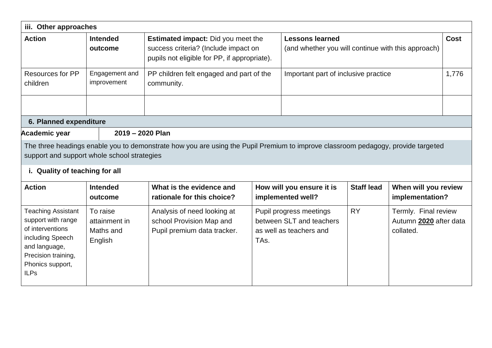| iii. Other approaches                                                                                                                                              |                                                   |                                                                                                                                   |                   |                                                                                |  |                                                             |             |
|--------------------------------------------------------------------------------------------------------------------------------------------------------------------|---------------------------------------------------|-----------------------------------------------------------------------------------------------------------------------------------|-------------------|--------------------------------------------------------------------------------|--|-------------------------------------------------------------|-------------|
| <b>Action</b>                                                                                                                                                      | <b>Intended</b><br>outcome                        | <b>Estimated impact:</b> Did you meet the<br>success criteria? (Include impact on<br>pupils not eligible for PP, if appropriate). |                   | <b>Lessons learned</b><br>(and whether you will continue with this approach)   |  |                                                             | <b>Cost</b> |
| <b>Resources for PP</b><br>Engagement and<br>improvement<br>children                                                                                               |                                                   | PP children felt engaged and part of the<br>community.                                                                            |                   | Important part of inclusive practice                                           |  |                                                             | 1,776       |
|                                                                                                                                                                    |                                                   |                                                                                                                                   |                   |                                                                                |  |                                                             |             |
| 6. Planned expenditure<br>Academic year                                                                                                                            | 2019 - 2020 Plan                                  |                                                                                                                                   |                   |                                                                                |  |                                                             |             |
| support and support whole school strategies<br>i. Quality of teaching for all                                                                                      |                                                   | The three headings enable you to demonstrate how you are using the Pupil Premium to improve classroom pedagogy, provide targeted  |                   |                                                                                |  |                                                             |             |
| <b>Action</b>                                                                                                                                                      | <b>Intended</b><br>outcome                        | What is the evidence and<br>rationale for this choice?                                                                            |                   | How will you ensure it is<br>implemented well?                                 |  | When will you review<br>implementation?                     |             |
| <b>Teaching Assistant</b><br>support with range<br>of interventions<br>including Speech<br>and language,<br>Precision training,<br>Phonics support,<br><b>ILPs</b> | To raise<br>attainment in<br>Maths and<br>English | Analysis of need looking at<br>school Provision Map and<br>Pupil premium data tracker.                                            | TA <sub>s</sub> . | Pupil progress meetings<br>between SLT and teachers<br>as well as teachers and |  | Termly. Final review<br>Autumn 2020 after data<br>collated. |             |